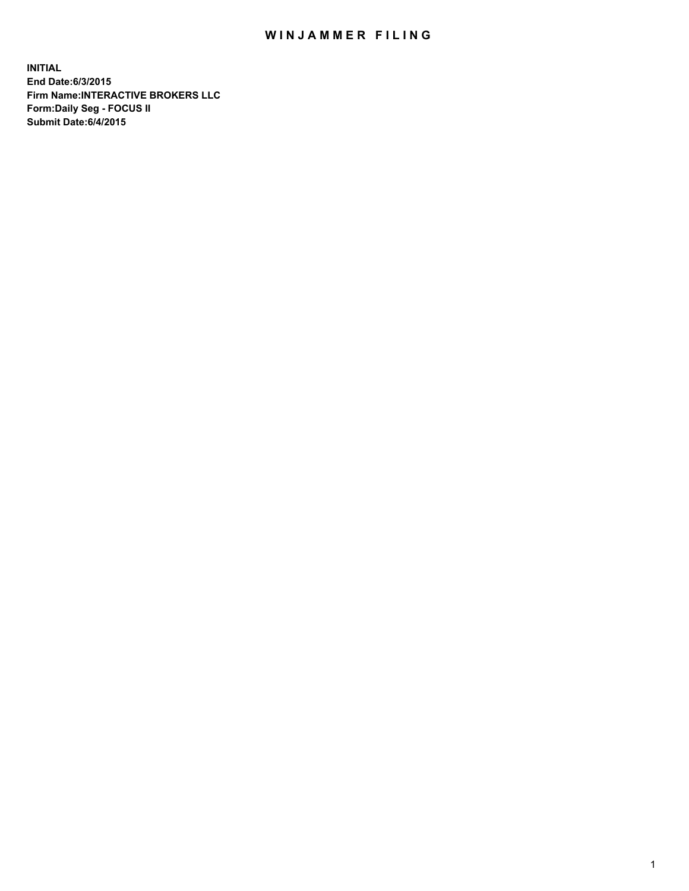## WIN JAMMER FILING

**INITIAL End Date:6/3/2015 Firm Name:INTERACTIVE BROKERS LLC Form:Daily Seg - FOCUS II Submit Date:6/4/2015**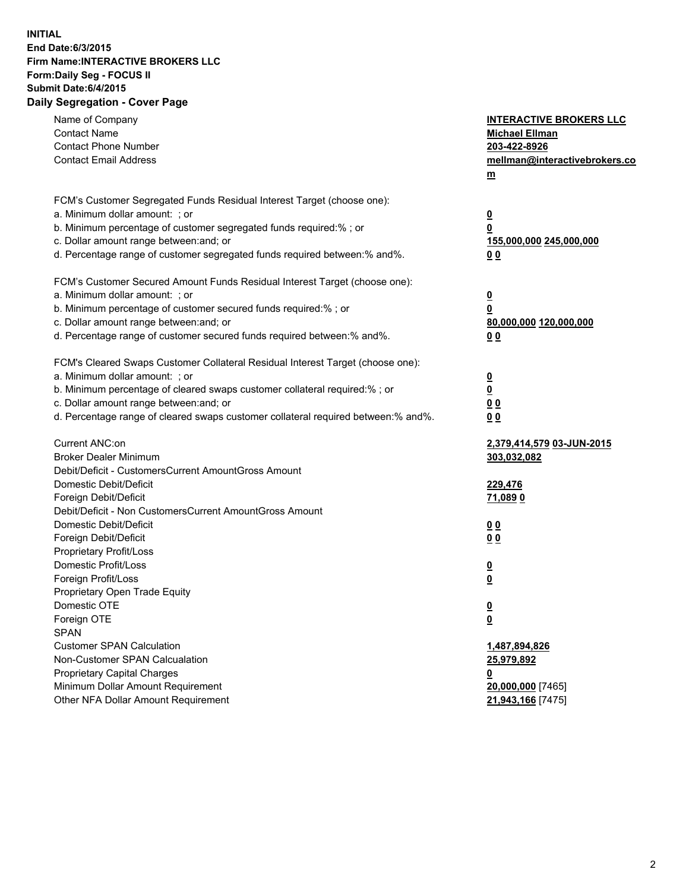## **INITIAL End Date:6/3/2015 Firm Name:INTERACTIVE BROKERS LLC Form:Daily Seg - FOCUS II Submit Date:6/4/2015 Daily Segregation - Cover Page**

| Name of Company<br><b>Contact Name</b>                                            | <b>INTERACTIVE BROKERS LLC</b><br><b>Michael Ellman</b> |
|-----------------------------------------------------------------------------------|---------------------------------------------------------|
| <b>Contact Phone Number</b>                                                       | 203-422-8926                                            |
| <b>Contact Email Address</b>                                                      | mellman@interactivebrokers.co                           |
|                                                                                   | $\underline{\mathbf{m}}$                                |
|                                                                                   |                                                         |
| FCM's Customer Segregated Funds Residual Interest Target (choose one):            |                                                         |
| a. Minimum dollar amount: ; or                                                    | $\overline{\mathbf{0}}$                                 |
| b. Minimum percentage of customer segregated funds required:% ; or                | 0                                                       |
| c. Dollar amount range between: and; or                                           | 155,000,000 245,000,000                                 |
| d. Percentage range of customer segregated funds required between:% and%.         | 00                                                      |
| FCM's Customer Secured Amount Funds Residual Interest Target (choose one):        |                                                         |
| a. Minimum dollar amount: ; or                                                    | $\overline{\mathbf{0}}$                                 |
| b. Minimum percentage of customer secured funds required:% ; or                   | 0                                                       |
| c. Dollar amount range between: and; or                                           | 80,000,000 120,000,000                                  |
| d. Percentage range of customer secured funds required between:% and%.            | 00                                                      |
|                                                                                   |                                                         |
| FCM's Cleared Swaps Customer Collateral Residual Interest Target (choose one):    |                                                         |
| a. Minimum dollar amount: ; or                                                    | $\overline{\mathbf{0}}$                                 |
| b. Minimum percentage of cleared swaps customer collateral required:% ; or        | $\underline{\mathbf{0}}$                                |
| c. Dollar amount range between: and; or                                           | 0 <sub>0</sub>                                          |
| d. Percentage range of cleared swaps customer collateral required between:% and%. | 0 <sub>0</sub>                                          |
|                                                                                   |                                                         |
| Current ANC:on                                                                    | 2,379,414,579 03-JUN-2015                               |
| <b>Broker Dealer Minimum</b>                                                      | 303,032,082                                             |
| Debit/Deficit - CustomersCurrent AmountGross Amount                               |                                                         |
| Domestic Debit/Deficit                                                            | 229,476                                                 |
| Foreign Debit/Deficit                                                             | 71,089 0                                                |
| Debit/Deficit - Non CustomersCurrent AmountGross Amount                           |                                                         |
| Domestic Debit/Deficit                                                            | 0 <sub>0</sub>                                          |
| Foreign Debit/Deficit                                                             | 0 <sub>0</sub>                                          |
| Proprietary Profit/Loss                                                           |                                                         |
| Domestic Profit/Loss                                                              | $\overline{\mathbf{0}}$                                 |
| Foreign Profit/Loss                                                               | $\underline{\mathbf{0}}$                                |
| Proprietary Open Trade Equity                                                     |                                                         |
| Domestic OTE                                                                      | <u>0</u>                                                |
| Foreign OTE                                                                       | <u>0</u>                                                |
| <b>SPAN</b>                                                                       |                                                         |
| <b>Customer SPAN Calculation</b>                                                  | 1,487,894,826                                           |
| Non-Customer SPAN Calcualation                                                    | 25,979,892                                              |
| Proprietary Capital Charges                                                       | <u>0</u>                                                |
| Minimum Dollar Amount Requirement                                                 | 20,000,000 [7465]                                       |
| Other NFA Dollar Amount Requirement                                               | 21,943,166 [7475]                                       |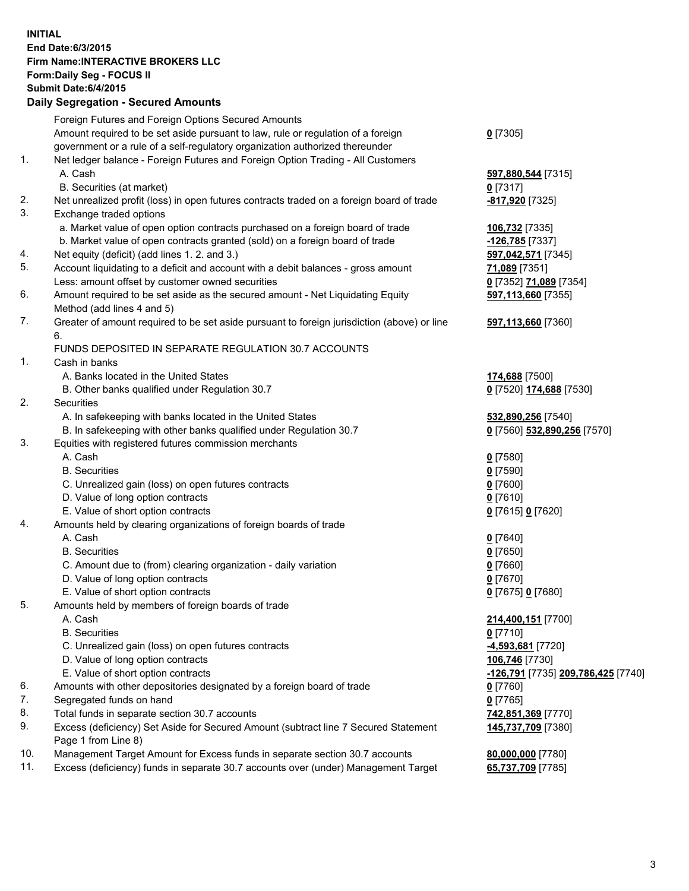## **INITIAL End Date:6/3/2015 Firm Name:INTERACTIVE BROKERS LLC Form:Daily Seg - FOCUS II Submit Date:6/4/2015 Daily Segregation - Secured Amounts**

|            | Foreign Futures and Foreign Options Secured Amounts                                         |                                    |
|------------|---------------------------------------------------------------------------------------------|------------------------------------|
|            | Amount required to be set aside pursuant to law, rule or regulation of a foreign            | $0$ [7305]                         |
|            | government or a rule of a self-regulatory organization authorized thereunder                |                                    |
| 1.         | Net ledger balance - Foreign Futures and Foreign Option Trading - All Customers             |                                    |
|            | A. Cash                                                                                     | 597,880,544 [7315]                 |
|            | B. Securities (at market)                                                                   | $0$ [7317]                         |
| 2.         | Net unrealized profit (loss) in open futures contracts traded on a foreign board of trade   | -817,920 [7325]                    |
| 3.         | Exchange traded options                                                                     |                                    |
|            | a. Market value of open option contracts purchased on a foreign board of trade              | 106,732 [7335]                     |
|            | b. Market value of open contracts granted (sold) on a foreign board of trade                | -126,785 [7337]                    |
| 4.         | Net equity (deficit) (add lines 1.2. and 3.)                                                | 597,042,571 [7345]                 |
| 5.         | Account liquidating to a deficit and account with a debit balances - gross amount           | 71,089 [7351]                      |
|            | Less: amount offset by customer owned securities                                            | 0 [7352] 71,089 [7354]             |
| 6.         | Amount required to be set aside as the secured amount - Net Liquidating Equity              | 597,113,660 [7355]                 |
|            | Method (add lines 4 and 5)                                                                  |                                    |
| 7.         | Greater of amount required to be set aside pursuant to foreign jurisdiction (above) or line | 597,113,660 [7360]                 |
|            | 6.                                                                                          |                                    |
|            | FUNDS DEPOSITED IN SEPARATE REGULATION 30.7 ACCOUNTS                                        |                                    |
| 1.         | Cash in banks                                                                               |                                    |
|            | A. Banks located in the United States                                                       | 174,688 [7500]                     |
|            | B. Other banks qualified under Regulation 30.7                                              | 0 [7520] 174,688 [7530]            |
| 2.         | Securities                                                                                  |                                    |
|            | A. In safekeeping with banks located in the United States                                   | 532,890,256 [7540]                 |
|            | B. In safekeeping with other banks qualified under Regulation 30.7                          | 0 [7560] 532,890,256 [7570]        |
| 3.         | Equities with registered futures commission merchants                                       |                                    |
|            | A. Cash                                                                                     | $0$ [7580]                         |
|            | <b>B.</b> Securities                                                                        | $0$ [7590]                         |
|            | C. Unrealized gain (loss) on open futures contracts                                         | $0$ [7600]                         |
|            | D. Value of long option contracts                                                           | $0$ [7610]                         |
|            | E. Value of short option contracts                                                          | 0 [7615] 0 [7620]                  |
| 4.         | Amounts held by clearing organizations of foreign boards of trade                           |                                    |
|            | A. Cash                                                                                     | $0$ [7640]                         |
|            | <b>B.</b> Securities                                                                        | $0$ [7650]                         |
|            | C. Amount due to (from) clearing organization - daily variation                             | $0$ [7660]                         |
|            | D. Value of long option contracts                                                           | $0$ [7670]                         |
|            | E. Value of short option contracts                                                          | 0 [7675] 0 [7680]                  |
| 5.         | Amounts held by members of foreign boards of trade                                          |                                    |
|            | A. Cash                                                                                     | 214,400,151 [7700]                 |
|            | <b>B.</b> Securities                                                                        | $0$ [7710]                         |
|            | C. Unrealized gain (loss) on open futures contracts                                         | 4,593,681 [7720]                   |
|            | D. Value of long option contracts                                                           | 106,746 [7730]                     |
|            | E. Value of short option contracts                                                          | -126,791 [7735] 209,786,425 [7740] |
| 6.         | Amounts with other depositories designated by a foreign board of trade                      | 0 [7760]                           |
| 7.         | Segregated funds on hand                                                                    | $0$ [7765]                         |
| 8.         | Total funds in separate section 30.7 accounts                                               | 742,851,369 [7770]                 |
| 9.         | Excess (deficiency) Set Aside for Secured Amount (subtract line 7 Secured Statement         | 145,737,709 [7380]                 |
|            | Page 1 from Line 8)                                                                         |                                    |
| 10.<br>11. | Management Target Amount for Excess funds in separate section 30.7 accounts                 | 80,000,000 [7780]                  |
|            | Excess (deficiency) funds in separate 30.7 accounts over (under) Management Target          | 65,737,709 [7785]                  |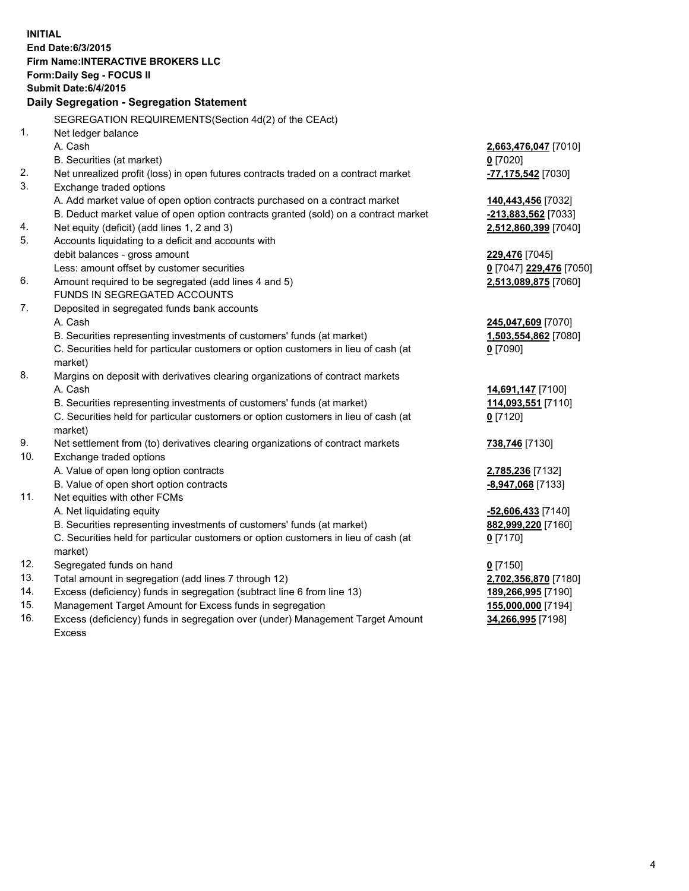**INITIAL End Date:6/3/2015 Firm Name:INTERACTIVE BROKERS LLC Form:Daily Seg - FOCUS II Submit Date:6/4/2015 Daily Segregation - Segregation Statement** SEGREGATION REQUIREMENTS(Section 4d(2) of the CEAct) 1. Net ledger balance A. Cash **2,663,476,047** [7010] B. Securities (at market) **0** [7020] 2. Net unrealized profit (loss) in open futures contracts traded on a contract market **-77,175,542** [7030] 3. Exchange traded options A. Add market value of open option contracts purchased on a contract market **140,443,456** [7032] B. Deduct market value of open option contracts granted (sold) on a contract market **-213,883,562** [7033] 4. Net equity (deficit) (add lines 1, 2 and 3) **2,512,860,399** [7040] 5. Accounts liquidating to a deficit and accounts with debit balances - gross amount **229,476** [7045] Less: amount offset by customer securities **0** [7047] **229,476** [7050] 6. Amount required to be segregated (add lines 4 and 5) **2,513,089,875** [7060] FUNDS IN SEGREGATED ACCOUNTS 7. Deposited in segregated funds bank accounts A. Cash **245,047,609** [7070] B. Securities representing investments of customers' funds (at market) **1,503,554,862** [7080] C. Securities held for particular customers or option customers in lieu of cash (at market) **0** [7090] 8. Margins on deposit with derivatives clearing organizations of contract markets A. Cash **14,691,147** [7100] B. Securities representing investments of customers' funds (at market) **114,093,551** [7110] C. Securities held for particular customers or option customers in lieu of cash (at market) **0** [7120] 9. Net settlement from (to) derivatives clearing organizations of contract markets **738,746** [7130] 10. Exchange traded options A. Value of open long option contracts **2,785,236** [7132] B. Value of open short option contracts **-8,947,068** [7133] 11. Net equities with other FCMs A. Net liquidating equity **-52,606,433** [7140] B. Securities representing investments of customers' funds (at market) **882,999,220** [7160] C. Securities held for particular customers or option customers in lieu of cash (at market) **0** [7170] 12. Segregated funds on hand **0** [7150] 13. Total amount in segregation (add lines 7 through 12) **2,702,356,870** [7180] 14. Excess (deficiency) funds in segregation (subtract line 6 from line 13) **189,266,995** [7190] 15. Management Target Amount for Excess funds in segregation **155,000,000** [7194] 16. Excess (deficiency) funds in segregation over (under) Management Target Amount **34,266,995** [7198]

Excess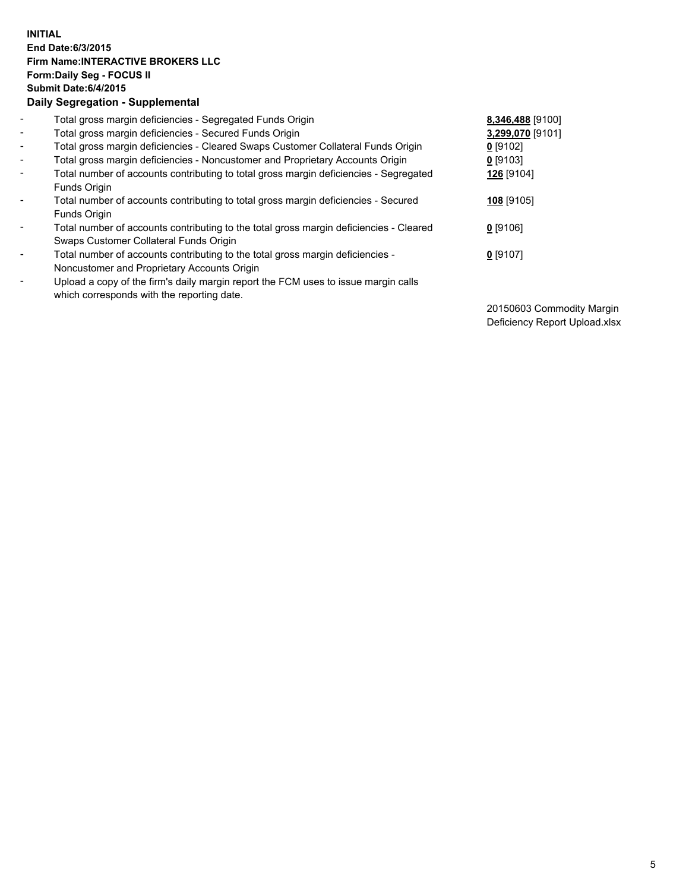## **INITIAL End Date:6/3/2015 Firm Name:INTERACTIVE BROKERS LLC Form:Daily Seg - FOCUS II Submit Date:6/4/2015 Daily Segregation - Supplemental**

| $\blacksquare$ | Total gross margin deficiencies - Segregated Funds Origin                                                                        | 8,346,488 [9100] |
|----------------|----------------------------------------------------------------------------------------------------------------------------------|------------------|
| $\blacksquare$ | Total gross margin deficiencies - Secured Funds Origin                                                                           | 3,299,070 [9101] |
| $\blacksquare$ | Total gross margin deficiencies - Cleared Swaps Customer Collateral Funds Origin                                                 | $0$ [9102]       |
| $\blacksquare$ | Total gross margin deficiencies - Noncustomer and Proprietary Accounts Origin                                                    | $0$ [9103]       |
| $\blacksquare$ | Total number of accounts contributing to total gross margin deficiencies - Segregated<br>Funds Origin                            | 126 [9104]       |
| $\blacksquare$ | Total number of accounts contributing to total gross margin deficiencies - Secured<br>Funds Origin                               | 108 [9105]       |
| $\blacksquare$ | Total number of accounts contributing to the total gross margin deficiencies - Cleared<br>Swaps Customer Collateral Funds Origin | $0$ [9106]       |
| $\blacksquare$ | Total number of accounts contributing to the total gross margin deficiencies -<br>Noncustomer and Proprietary Accounts Origin    | $0$ [9107]       |
| ۰              | Upload a copy of the firm's daily margin report the FCM uses to issue margin calls<br>which corresponds with the reporting date. |                  |

20150603 Commodity Margin Deficiency Report Upload.xlsx